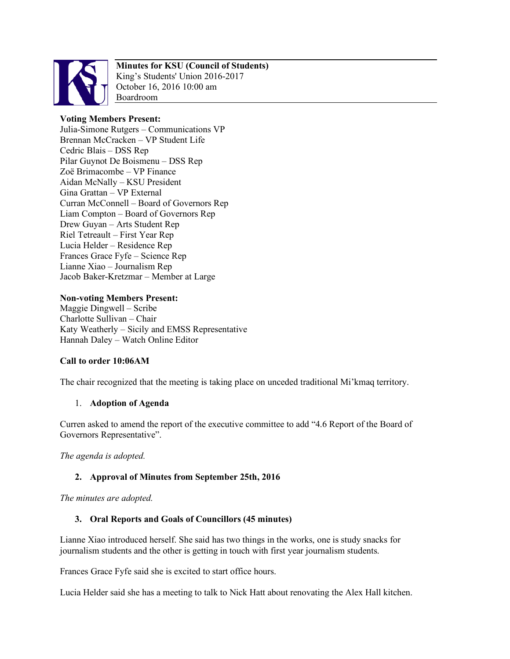

# **Minutes for KSU (Council of Students)**

King's Students' Union 2016-2017 October 16, 2016 10:00 am Boardroom

## **Voting Members Present:**

Julia-Simone Rutgers – Communications VP Brennan McCracken – VP Student Life Cedric Blais – DSS Rep Pilar Guynot De Boismenu – DSS Rep Zoë Brimacombe – VP Finance Aidan McNally – KSU President Gina Grattan – VP External Curran McConnell – Board of Governors Rep Liam Compton – Board of Governors Rep Drew Guyan – Arts Student Rep Riel Tetreault – First Year Rep Lucia Helder – Residence Rep Frances Grace Fyfe – Science Rep Lianne Xiao – Journalism Rep Jacob Baker-Kretzmar – Member at Large

## **Non-voting Members Present:**

Maggie Dingwell – Scribe Charlotte Sullivan – Chair Katy Weatherly – Sicily and EMSS Representative Hannah Daley – Watch Online Editor

## **Call to order 10:06AM**

The chair recognized that the meeting is taking place on unceded traditional Mi'kmaq territory.

## 1. **Adoption of Agenda**

Curren asked to amend the report of the executive committee to add "4.6 Report of the Board of Governors Representative".

*The agenda is adopted.*

## **2. Approval of Minutes from September 25th, 2016**

*The minutes are adopted.* 

## **3. Oral Reports and Goals of Councillors (45 minutes)**

Lianne Xiao introduced herself. She said has two things in the works, one is study snacks for journalism students and the other is getting in touch with first year journalism students.

Frances Grace Fyfe said she is excited to start office hours.

Lucia Helder said she has a meeting to talk to Nick Hatt about renovating the Alex Hall kitchen.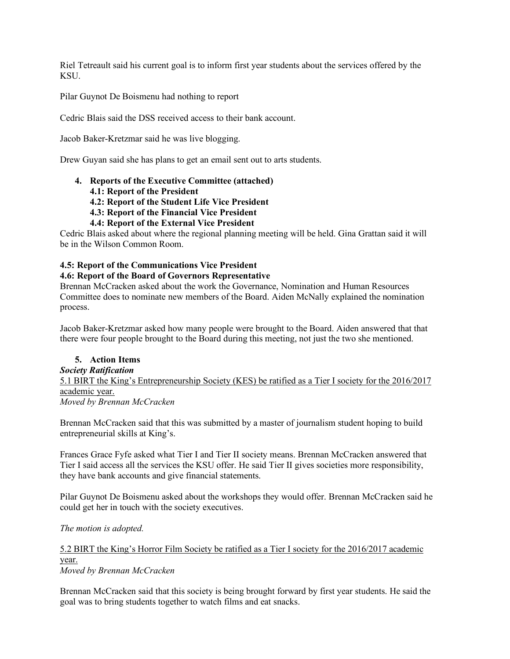Riel Tetreault said his current goal is to inform first year students about the services offered by the **KSU** 

Pilar Guynot De Boismenu had nothing to report

Cedric Blais said the DSS received access to their bank account.

Jacob Baker-Kretzmar said he was live blogging.

Drew Guyan said she has plans to get an email sent out to arts students.

## **4. Reports of the Executive Committee (attached)**

- **4.1: Report of the President**
- **4.2: Report of the Student Life Vice President**
- **4.3: Report of the Financial Vice President**
- **4.4: Report of the External Vice President**

Cedric Blais asked about where the regional planning meeting will be held. Gina Grattan said it will be in the Wilson Common Room.

# **4.5: Report of the Communications Vice President**

## **4.6: Report of the Board of Governors Representative**

Brennan McCracken asked about the work the Governance, Nomination and Human Resources Committee does to nominate new members of the Board. Aiden McNally explained the nomination process.

Jacob Baker-Kretzmar asked how many people were brought to the Board. Aiden answered that that there were four people brought to the Board during this meeting, not just the two she mentioned.

## **5. Action Items** *Society Ratification* 5.1 BIRT the King's Entrepreneurship Society (KES) be ratified as a Tier I society for the 2016/2017 academic year. *Moved by Brennan McCracken*

Brennan McCracken said that this was submitted by a master of journalism student hoping to build entrepreneurial skills at King's.

Frances Grace Fyfe asked what Tier I and Tier II society means. Brennan McCracken answered that Tier I said access all the services the KSU offer. He said Tier II gives societies more responsibility, they have bank accounts and give financial statements.

Pilar Guynot De Boismenu asked about the workshops they would offer. Brennan McCracken said he could get her in touch with the society executives.

*The motion is adopted.*

### 5.2 BIRT the King's Horror Film Society be ratified as a Tier I society for the 2016/2017 academic year. *Moved by Brennan McCracken*

Brennan McCracken said that this society is being brought forward by first year students. He said the goal was to bring students together to watch films and eat snacks.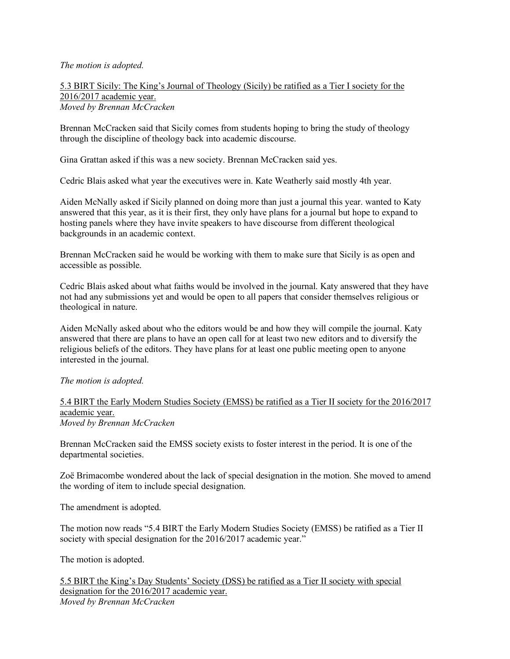### *The motion is adopted.*

### 5.3 BIRT Sicily: The King's Journal of Theology (Sicily) be ratified as a Tier I society for the 2016/2017 academic year. *Moved by Brennan McCracken*

Brennan McCracken said that Sicily comes from students hoping to bring the study of theology through the discipline of theology back into academic discourse.

Gina Grattan asked if this was a new society. Brennan McCracken said yes.

Cedric Blais asked what year the executives were in. Kate Weatherly said mostly 4th year.

Aiden McNally asked if Sicily planned on doing more than just a journal this year. wanted to Katy answered that this year, as it is their first, they only have plans for a journal but hope to expand to hosting panels where they have invite speakers to have discourse from different theological backgrounds in an academic context.

Brennan McCracken said he would be working with them to make sure that Sicily is as open and accessible as possible.

Cedric Blais asked about what faiths would be involved in the journal. Katy answered that they have not had any submissions yet and would be open to all papers that consider themselves religious or theological in nature.

Aiden McNally asked about who the editors would be and how they will compile the journal. Katy answered that there are plans to have an open call for at least two new editors and to diversify the religious beliefs of the editors. They have plans for at least one public meeting open to anyone interested in the journal.

### *The motion is adopted.*

#### 5.4 BIRT the Early Modern Studies Society (EMSS) be ratified as a Tier II society for the 2016/2017 academic year. *Moved by Brennan McCracken*

Brennan McCracken said the EMSS society exists to foster interest in the period. It is one of the departmental societies.

Zoë Brimacombe wondered about the lack of special designation in the motion. She moved to amend the wording of item to include special designation.

The amendment is adopted.

The motion now reads "5.4 BIRT the Early Modern Studies Society (EMSS) be ratified as a Tier II society with special designation for the 2016/2017 academic year."

The motion is adopted.

5.5 BIRT the King's Day Students' Society (DSS) be ratified as a Tier II society with special designation for the 2016/2017 academic year. *Moved by Brennan McCracken*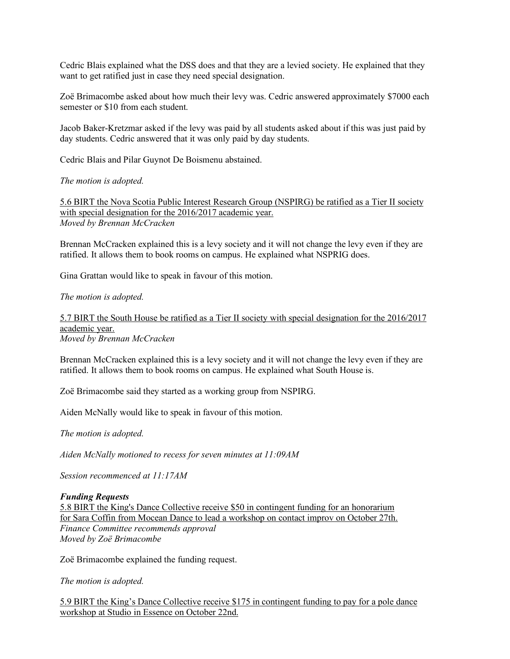Cedric Blais explained what the DSS does and that they are a levied society. He explained that they want to get ratified just in case they need special designation.

Zoë Brimacombe asked about how much their levy was. Cedric answered approximately \$7000 each semester or \$10 from each student.

Jacob Baker-Kretzmar asked if the levy was paid by all students asked about if this was just paid by day students. Cedric answered that it was only paid by day students.

Cedric Blais and Pilar Guynot De Boismenu abstained.

*The motion is adopted.*

5.6 BIRT the Nova Scotia Public Interest Research Group (NSPIRG) be ratified as a Tier II society with special designation for the 2016/2017 academic year. *Moved by Brennan McCracken*

Brennan McCracken explained this is a levy society and it will not change the levy even if they are ratified. It allows them to book rooms on campus. He explained what NSPRIG does.

Gina Grattan would like to speak in favour of this motion.

*The motion is adopted.*

5.7 BIRT the South House be ratified as a Tier II society with special designation for the 2016/2017 academic year. *Moved by Brennan McCracken*

Brennan McCracken explained this is a levy society and it will not change the levy even if they are ratified. It allows them to book rooms on campus. He explained what South House is.

Zoë Brimacombe said they started as a working group from NSPIRG.

Aiden McNally would like to speak in favour of this motion.

*The motion is adopted.*

*Aiden McNally motioned to recess for seven minutes at 11:09AM*

*Session recommenced at 11:17AM*

#### *Funding Requests*

5.8 BIRT the King's Dance Collective receive \$50 in contingent funding for an honorarium for Sara Coffin from Mocean Dance to lead a workshop on contact improv on October 27th. *Finance Committee recommends approval Moved by Zoë Brimacombe*

Zoë Brimacombe explained the funding request.

*The motion is adopted.*

5.9 BIRT the King's Dance Collective receive \$175 in contingent funding to pay for a pole dance workshop at Studio in Essence on October 22nd.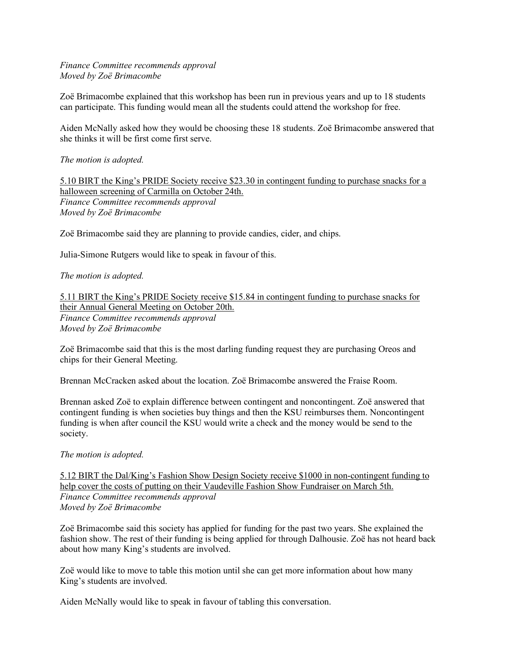*Finance Committee recommends approval Moved by Zoë Brimacombe*

Zoë Brimacombe explained that this workshop has been run in previous years and up to 18 students can participate. This funding would mean all the students could attend the workshop for free.

Aiden McNally asked how they would be choosing these 18 students. Zoë Brimacombe answered that she thinks it will be first come first serve.

*The motion is adopted.*

5.10 BIRT the King's PRIDE Society receive \$23.30 in contingent funding to purchase snacks for a halloween screening of Carmilla on October 24th. *Finance Committee recommends approval Moved by Zoë Brimacombe*

Zoë Brimacombe said they are planning to provide candies, cider, and chips.

Julia-Simone Rutgers would like to speak in favour of this.

*The motion is adopted.*

5.11 BIRT the King's PRIDE Society receive \$15.84 in contingent funding to purchase snacks for their Annual General Meeting on October 20th. *Finance Committee recommends approval Moved by Zoë Brimacombe*

Zoë Brimacombe said that this is the most darling funding request they are purchasing Oreos and chips for their General Meeting.

Brennan McCracken asked about the location. Zoë Brimacombe answered the Fraise Room.

Brennan asked Zoë to explain difference between contingent and noncontingent. Zoë answered that contingent funding is when societies buy things and then the KSU reimburses them. Noncontingent funding is when after council the KSU would write a check and the money would be send to the society.

*The motion is adopted.*

5.12 BIRT the Dal/King's Fashion Show Design Society receive \$1000 in non-contingent funding to help cover the costs of putting on their Vaudeville Fashion Show Fundraiser on March 5th. *Finance Committee recommends approval Moved by Zoë Brimacombe*

Zoë Brimacombe said this society has applied for funding for the past two years. She explained the fashion show. The rest of their funding is being applied for through Dalhousie. Zoë has not heard back about how many King's students are involved.

Zoë would like to move to table this motion until she can get more information about how many King's students are involved.

Aiden McNally would like to speak in favour of tabling this conversation.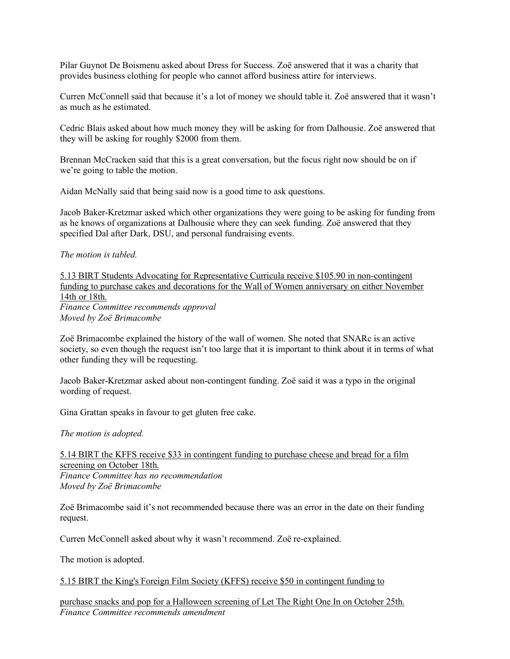Pilar Guynot De Boismenu asked about Dress for Success. Zoë answered that it was a charity that provides business clothing for people who cannot afford business attire for interviews.

Curren McConnell said that because it's a lot of money we should table it. Zoë answered that it wasn't as much as he estimated.

Cedric Blais asked about how much money they will be asking for from Dalhousie. Zoë answered that they will be asking for roughly \$2000 from them.

Brennan McCracken said that this is a great conversation, but the focus right now should be on if we're going to table the motion.

Aidan McNally said that being said now is a good time to ask questions.

Jacob Baker-Kretzmar asked which other organizations they were going to be asking for funding from as he knows of organizations at Dalhousie where they can seek funding. Zoë answered that they specified Dal after Dark, DSU, and personal fundraising events.

### *The motion is tabled.*

5.13 BIRT Students Advocating for Representative Curricula receive \$105.90 in non-contingent funding to purchase cakes and decorations for the Wall of Women anniversary on either November 14th or 18th. *Finance Committee recommends approval Moved by Zoë Brimacombe*

Zoë Brimacombe explained the history of the wall of women. She noted that SNARc is an active society, so even though the request isn't too large that it is important to think about it in terms of what other funding they will be requesting.

Jacob Baker-Kretzmar asked about non-contingent funding. Zoë said it was a typo in the original wording of request.

Gina Grattan speaks in favour to get gluten free cake.

*The motion is adopted.*

5.14 BIRT the KFFS receive \$33 in contingent funding to purchase cheese and bread for a film screening on October 18th. *Finance Committee has no recommendation Moved by Zoë Brimacombe*

Zoë Brimacombe said it's not recommended because there was an error in the date on their funding request.

Curren McConnell asked about why it wasn't recommend. Zoë re-explained.

The motion is adopted.

### 5.15 BIRT the King's Foreign Film Society (KFFS) receive \$50 in contingent funding to

purchase snacks and pop for a Halloween screening of Let The Right One In on October 25th. *Finance Committee recommends amendment*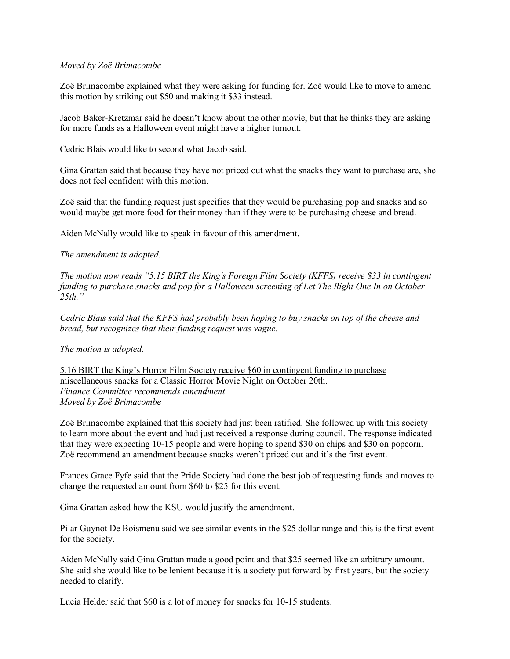### *Moved by Zoë Brimacombe*

Zoë Brimacombe explained what they were asking for funding for. Zoë would like to move to amend this motion by striking out \$50 and making it \$33 instead.

Jacob Baker-Kretzmar said he doesn't know about the other movie, but that he thinks they are asking for more funds as a Halloween event might have a higher turnout.

Cedric Blais would like to second what Jacob said.

Gina Grattan said that because they have not priced out what the snacks they want to purchase are, she does not feel confident with this motion.

Zoë said that the funding request just specifies that they would be purchasing pop and snacks and so would maybe get more food for their money than if they were to be purchasing cheese and bread.

Aiden McNally would like to speak in favour of this amendment.

### *The amendment is adopted.*

*The motion now reads "5.15 BIRT the King's Foreign Film Society (KFFS) receive \$33 in contingent funding to purchase snacks and pop for a Halloween screening of Let The Right One In on October 25th."*

*Cedric Blais said that the KFFS had probably been hoping to buy snacks on top of the cheese and bread, but recognizes that their funding request was vague.*

#### *The motion is adopted.*

5.16 BIRT the King's Horror Film Society receive \$60 in contingent funding to purchase miscellaneous snacks for a Classic Horror Movie Night on October 20th. *Finance Committee recommends amendment Moved by Zoë Brimacombe*

Zoë Brimacombe explained that this society had just been ratified. She followed up with this society to learn more about the event and had just received a response during council. The response indicated that they were expecting 10-15 people and were hoping to spend \$30 on chips and \$30 on popcorn. Zoë recommend an amendment because snacks weren't priced out and it's the first event.

Frances Grace Fyfe said that the Pride Society had done the best job of requesting funds and moves to change the requested amount from \$60 to \$25 for this event.

Gina Grattan asked how the KSU would justify the amendment.

Pilar Guynot De Boismenu said we see similar events in the \$25 dollar range and this is the first event for the society.

Aiden McNally said Gina Grattan made a good point and that \$25 seemed like an arbitrary amount. She said she would like to be lenient because it is a society put forward by first years, but the society needed to clarify.

Lucia Helder said that \$60 is a lot of money for snacks for 10-15 students.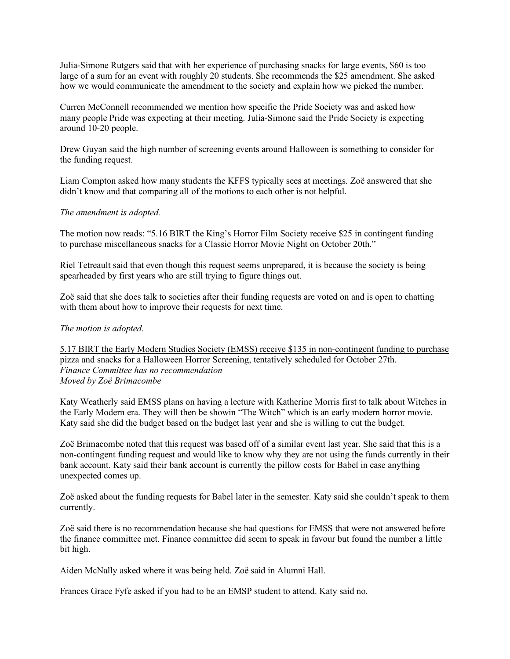Julia-Simone Rutgers said that with her experience of purchasing snacks for large events, \$60 is too large of a sum for an event with roughly 20 students. She recommends the \$25 amendment. She asked how we would communicate the amendment to the society and explain how we picked the number.

Curren McConnell recommended we mention how specific the Pride Society was and asked how many people Pride was expecting at their meeting. Julia-Simone said the Pride Society is expecting around 10-20 people.

Drew Guyan said the high number of screening events around Halloween is something to consider for the funding request.

Liam Compton asked how many students the KFFS typically sees at meetings. Zoë answered that she didn't know and that comparing all of the motions to each other is not helpful.

*The amendment is adopted.*

The motion now reads: "5.16 BIRT the King's Horror Film Society receive \$25 in contingent funding to purchase miscellaneous snacks for a Classic Horror Movie Night on October 20th."

Riel Tetreault said that even though this request seems unprepared, it is because the society is being spearheaded by first years who are still trying to figure things out.

Zoë said that she does talk to societies after their funding requests are voted on and is open to chatting with them about how to improve their requests for next time.

*The motion is adopted.*

5.17 BIRT the Early Modern Studies Society (EMSS) receive \$135 in non-contingent funding to purchase pizza and snacks for a Halloween Horror Screening, tentatively scheduled for October 27th. *Finance Committee has no recommendation Moved by Zoë Brimacombe*

Katy Weatherly said EMSS plans on having a lecture with Katherine Morris first to talk about Witches in the Early Modern era. They will then be showin "The Witch" which is an early modern horror movie. Katy said she did the budget based on the budget last year and she is willing to cut the budget.

Zoë Brimacombe noted that this request was based off of a similar event last year. She said that this is a non-contingent funding request and would like to know why they are not using the funds currently in their bank account. Katy said their bank account is currently the pillow costs for Babel in case anything unexpected comes up.

Zoë asked about the funding requests for Babel later in the semester. Katy said she couldn't speak to them currently.

Zoë said there is no recommendation because she had questions for EMSS that were not answered before the finance committee met. Finance committee did seem to speak in favour but found the number a little bit high.

Aiden McNally asked where it was being held. Zoë said in Alumni Hall.

Frances Grace Fyfe asked if you had to be an EMSP student to attend. Katy said no.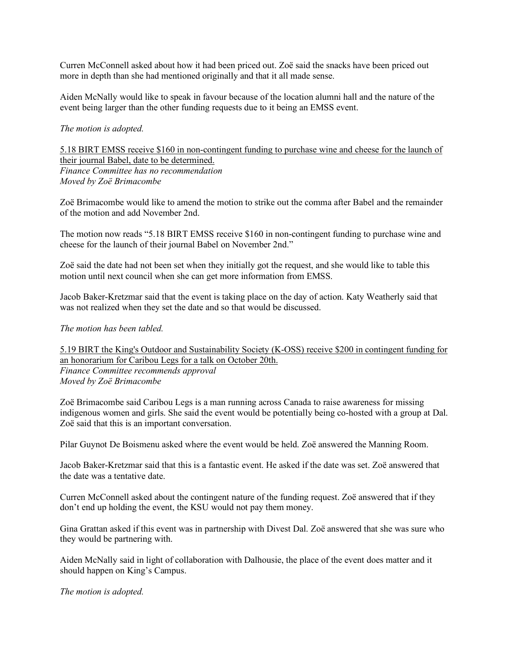Curren McConnell asked about how it had been priced out. Zoë said the snacks have been priced out more in depth than she had mentioned originally and that it all made sense.

Aiden McNally would like to speak in favour because of the location alumni hall and the nature of the event being larger than the other funding requests due to it being an EMSS event.

### *The motion is adopted.*

5.18 BIRT EMSS receive \$160 in non-contingent funding to purchase wine and cheese for the launch of their journal Babel, date to be determined. *Finance Committee has no recommendation Moved by Zoë Brimacombe*

Zoë Brimacombe would like to amend the motion to strike out the comma after Babel and the remainder of the motion and add November 2nd.

The motion now reads "5.18 BIRT EMSS receive \$160 in non-contingent funding to purchase wine and cheese for the launch of their journal Babel on November 2nd."

Zoë said the date had not been set when they initially got the request, and she would like to table this motion until next council when she can get more information from EMSS.

Jacob Baker-Kretzmar said that the event is taking place on the day of action. Katy Weatherly said that was not realized when they set the date and so that would be discussed.

#### *The motion has been tabled.*

5.19 BIRT the King's Outdoor and Sustainability Society (K-OSS) receive \$200 in contingent funding for an honorarium for Caribou Legs for a talk on October 20th. *Finance Committee recommends approval Moved by Zoë Brimacombe*

Zoë Brimacombe said Caribou Legs is a man running across Canada to raise awareness for missing indigenous women and girls. She said the event would be potentially being co-hosted with a group at Dal. Zoë said that this is an important conversation.

Pilar Guynot De Boismenu asked where the event would be held. Zoë answered the Manning Room.

Jacob Baker-Kretzmar said that this is a fantastic event. He asked if the date was set. Zoë answered that the date was a tentative date.

Curren McConnell asked about the contingent nature of the funding request. Zoë answered that if they don't end up holding the event, the KSU would not pay them money.

Gina Grattan asked if this event was in partnership with Divest Dal. Zoë answered that she was sure who they would be partnering with.

Aiden McNally said in light of collaboration with Dalhousie, the place of the event does matter and it should happen on King's Campus.

*The motion is adopted.*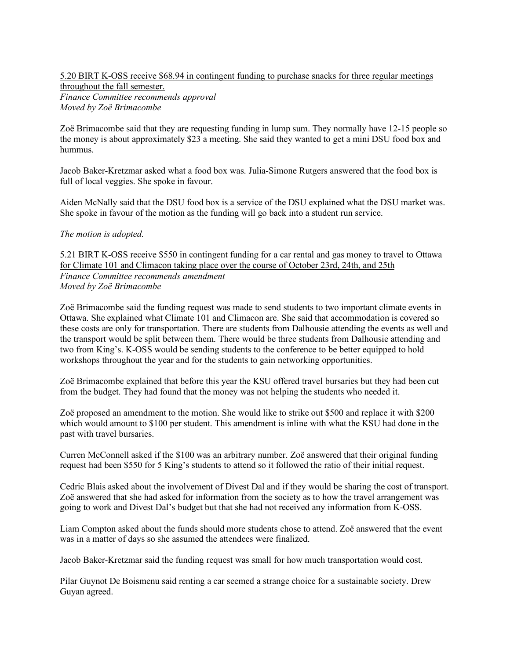## 5.20 BIRT K-OSS receive \$68.94 in contingent funding to purchase snacks for three regular meetings throughout the fall semester. *Finance Committee recommends approval Moved by Zoë Brimacombe*

Zoë Brimacombe said that they are requesting funding in lump sum. They normally have 12-15 people so the money is about approximately \$23 a meeting. She said they wanted to get a mini DSU food box and hummus.

Jacob Baker-Kretzmar asked what a food box was. Julia-Simone Rutgers answered that the food box is full of local veggies. She spoke in favour.

Aiden McNally said that the DSU food box is a service of the DSU explained what the DSU market was. She spoke in favour of the motion as the funding will go back into a student run service.

### *The motion is adopted.*

5.21 BIRT K-OSS receive \$550 in contingent funding for a car rental and gas money to travel to Ottawa for Climate 101 and Climacon taking place over the course of October 23rd, 24th, and 25th *Finance Committee recommends amendment Moved by Zoë Brimacombe*

Zoë Brimacombe said the funding request was made to send students to two important climate events in Ottawa. She explained what Climate 101 and Climacon are. She said that accommodation is covered so these costs are only for transportation. There are students from Dalhousie attending the events as well and the transport would be split between them. There would be three students from Dalhousie attending and two from King's. K-OSS would be sending students to the conference to be better equipped to hold workshops throughout the year and for the students to gain networking opportunities.

Zoë Brimacombe explained that before this year the KSU offered travel bursaries but they had been cut from the budget. They had found that the money was not helping the students who needed it.

Zoë proposed an amendment to the motion. She would like to strike out \$500 and replace it with \$200 which would amount to \$100 per student. This amendment is inline with what the KSU had done in the past with travel bursaries.

Curren McConnell asked if the \$100 was an arbitrary number. Zoë answered that their original funding request had been \$550 for 5 King's students to attend so it followed the ratio of their initial request.

Cedric Blais asked about the involvement of Divest Dal and if they would be sharing the cost of transport. Zoë answered that she had asked for information from the society as to how the travel arrangement was going to work and Divest Dal's budget but that she had not received any information from K-OSS.

Liam Compton asked about the funds should more students chose to attend. Zoë answered that the event was in a matter of days so she assumed the attendees were finalized.

Jacob Baker-Kretzmar said the funding request was small for how much transportation would cost.

Pilar Guynot De Boismenu said renting a car seemed a strange choice for a sustainable society. Drew Guyan agreed.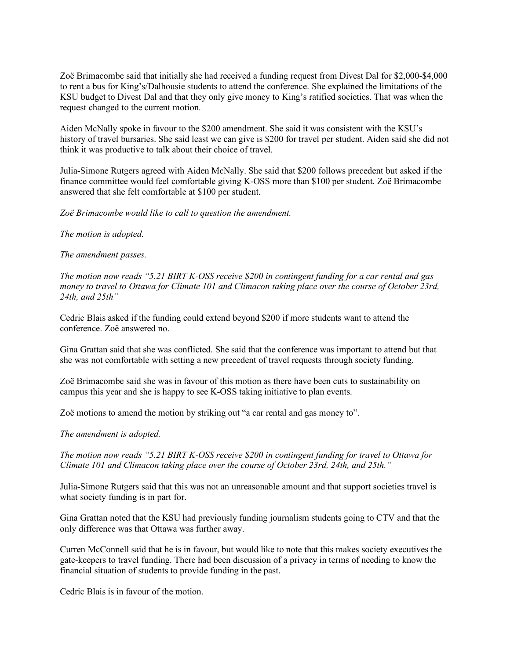Zoë Brimacombe said that initially she had received a funding request from Divest Dal for \$2,000-\$4,000 to rent a bus for King's/Dalhousie students to attend the conference. She explained the limitations of the KSU budget to Divest Dal and that they only give money to King's ratified societies. That was when the request changed to the current motion.

Aiden McNally spoke in favour to the \$200 amendment. She said it was consistent with the KSU's history of travel bursaries. She said least we can give is \$200 for travel per student. Aiden said she did not think it was productive to talk about their choice of travel.

Julia-Simone Rutgers agreed with Aiden McNally. She said that \$200 follows precedent but asked if the finance committee would feel comfortable giving K-OSS more than \$100 per student. Zoë Brimacombe answered that she felt comfortable at \$100 per student.

*Zoë Brimacombe would like to call to question the amendment.*

*The motion is adopted.*

*The amendment passes.*

*The motion now reads "5.21 BIRT K-OSS receive \$200 in contingent funding for a car rental and gas money to travel to Ottawa for Climate 101 and Climacon taking place over the course of October 23rd, 24th, and 25th"*

Cedric Blais asked if the funding could extend beyond \$200 if more students want to attend the conference. Zoë answered no.

Gina Grattan said that she was conflicted. She said that the conference was important to attend but that she was not comfortable with setting a new precedent of travel requests through society funding.

Zoë Brimacombe said she was in favour of this motion as there have been cuts to sustainability on campus this year and she is happy to see K-OSS taking initiative to plan events.

Zoë motions to amend the motion by striking out "a car rental and gas money to".

*The amendment is adopted.*

*The motion now reads "5.21 BIRT K-OSS receive \$200 in contingent funding for travel to Ottawa for Climate 101 and Climacon taking place over the course of October 23rd, 24th, and 25th."*

Julia-Simone Rutgers said that this was not an unreasonable amount and that support societies travel is what society funding is in part for.

Gina Grattan noted that the KSU had previously funding journalism students going to CTV and that the only difference was that Ottawa was further away.

Curren McConnell said that he is in favour, but would like to note that this makes society executives the gate-keepers to travel funding. There had been discussion of a privacy in terms of needing to know the financial situation of students to provide funding in the past.

Cedric Blais is in favour of the motion.